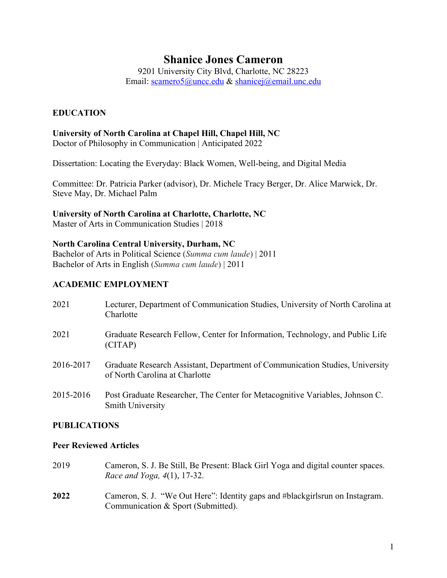# **Shanice Jones Cameron**

9201 University City Blvd, Charlotte, NC 28223 Email: scamero5@uncc.edu & shanicej@email.unc.edu

# **EDUCATION**

### **University of North Carolina at Chapel Hill, Chapel Hill, NC**

Doctor of Philosophy in Communication | Anticipated 2022

Dissertation: Locating the Everyday: Black Women, Well-being, and Digital Media

Committee: Dr. Patricia Parker (advisor), Dr. Michele Tracy Berger, Dr. Alice Marwick, Dr. Steve May, Dr. Michael Palm

### **University of North Carolina at Charlotte, Charlotte, NC**

Master of Arts in Communication Studies | 2018

### **North Carolina Central University, Durham, NC**

Bachelor of Arts in Political Science (*Summa cum laude*) | 2011 Bachelor of Arts in English (*Summa cum laude*) | 2011

# **ACADEMIC EMPLOYMENT**

| 2021      | Lecturer, Department of Communication Studies, University of North Carolina at<br>Charlotte                    |
|-----------|----------------------------------------------------------------------------------------------------------------|
| 2021      | Graduate Research Fellow, Center for Information, Technology, and Public Life<br>(CITAP)                       |
| 2016-2017 | Graduate Research Assistant, Department of Communication Studies, University<br>of North Carolina at Charlotte |
| 2015-2016 | Post Graduate Researcher, The Center for Metacognitive Variables, Johnson C.<br><b>Smith University</b>        |

#### **PUBLICATIONS**

#### **Peer Reviewed Articles**

- 2019 Cameron, S. J. Be Still, Be Present: Black Girl Yoga and digital counter spaces. *Race and Yoga, 4*(1), 17-32.
- **2022** Cameron, S. J. "We Out Here": Identity gaps and #blackgirlsrun on Instagram. Communication & Sport (Submitted).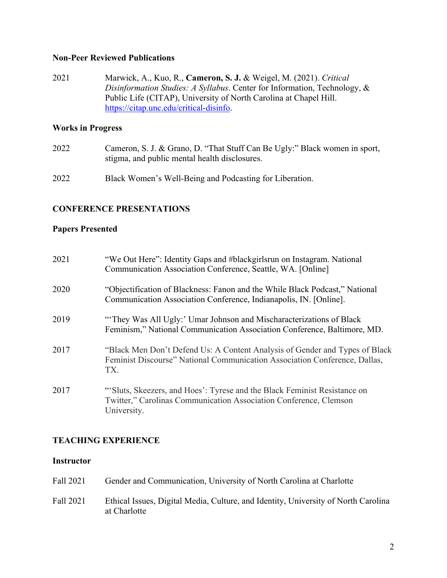#### **Non-Peer Reviewed Publications**

2021 Marwick, A., Kuo, R., **Cameron, S. J.** & Weigel, M. (2021). *Critical Disinformation Studies: A Syllabus*. Center for Information, Technology, & Public Life (CITAP), University of North Carolina at Chapel Hill. https://citap.unc.edu/critical-disinfo.

#### **Works in Progress**

- 2022 Cameron, S. J. & Grano, D. "That Stuff Can Be Ugly:" Black women in sport, stigma, and public mental health disclosures.
- 2022 Black Women's Well-Being and Podcasting for Liberation.

#### **CONFERENCE PRESENTATIONS**

#### **Papers Presented**

| 2021 | "We Out Here": Identity Gaps and #blackgirlsrun on Instagram. National<br>Communication Association Conference, Seattle, WA. [Online]                            |
|------|------------------------------------------------------------------------------------------------------------------------------------------------------------------|
| 2020 | "Objectification of Blackness: Fanon and the While Black Podcast," National<br>Communication Association Conference, Indianapolis, IN. [Online].                 |
| 2019 | "They Was All Ugly:' Umar Johnson and Mischaracterizations of Black<br>Feminism," National Communication Association Conference, Baltimore, MD.                  |
| 2017 | "Black Men Don't Defend Us: A Content Analysis of Gender and Types of Black<br>Feminist Discourse" National Communication Association Conference, Dallas,<br>TX. |
| 2017 | "Sluts, Skeezers, and Hoes': Tyrese and the Black Feminist Resistance on<br>Twitter," Carolinas Communication Association Conference, Clemson<br>University.     |

#### **TEACHING EXPERIENCE**

#### **Instructor**

Fall 2021 Gender and Communication, University of North Carolina at Charlotte Fall 2021 Ethical Issues, Digital Media, Culture, and Identity, University of North Carolina at Charlotte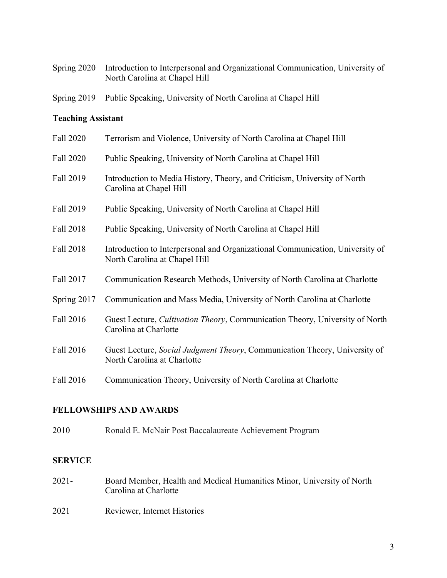| Spring 2020 Introduction to Interpersonal and Organizational Communication, University of |
|-------------------------------------------------------------------------------------------|
| North Carolina at Chapel Hill                                                             |

Spring 2019 Public Speaking, University of North Carolina at Chapel Hill

# **Teaching Assistant**

| Fall 2020   | Terrorism and Violence, University of North Carolina at Chapel Hill                                            |
|-------------|----------------------------------------------------------------------------------------------------------------|
| Fall 2020   | Public Speaking, University of North Carolina at Chapel Hill                                                   |
| Fall 2019   | Introduction to Media History, Theory, and Criticism, University of North<br>Carolina at Chapel Hill           |
| Fall 2019   | Public Speaking, University of North Carolina at Chapel Hill                                                   |
| Fall 2018   | Public Speaking, University of North Carolina at Chapel Hill                                                   |
| Fall 2018   | Introduction to Interpersonal and Organizational Communication, University of<br>North Carolina at Chapel Hill |
| Fall 2017   | Communication Research Methods, University of North Carolina at Charlotte                                      |
| Spring 2017 | Communication and Mass Media, University of North Carolina at Charlotte                                        |
| Fall 2016   | Guest Lecture, <i>Cultivation Theory</i> , Communication Theory, University of North<br>Carolina at Charlotte  |
| Fall 2016   | Guest Lecture, Social Judgment Theory, Communication Theory, University of<br>North Carolina at Charlotte      |
| Fall 2016   | Communication Theory, University of North Carolina at Charlotte                                                |

# **FELLOWSHIPS AND AWARDS**

2010 Ronald E. McNair Post Baccalaureate Achievement Program

## **SERVICE**

- 2021- Board Member, Health and Medical Humanities Minor, University of North Carolina at Charlotte
- 2021 Reviewer, Internet Histories